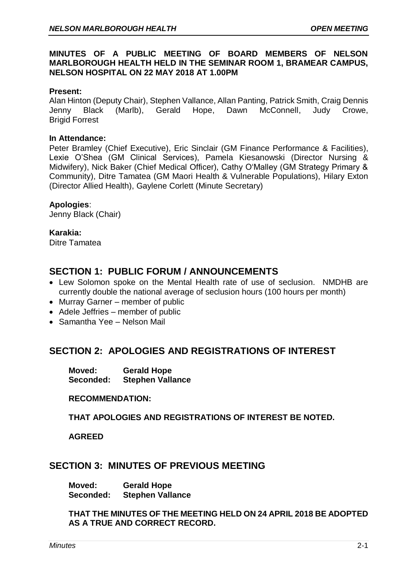## **MINUTES OF A PUBLIC MEETING OF BOARD MEMBERS OF NELSON MARLBOROUGH HEALTH HELD IN THE SEMINAR ROOM 1, BRAMEAR CAMPUS, NELSON HOSPITAL ON 22 MAY 2018 AT 1.00PM**

### **Present:**

Alan Hinton (Deputy Chair), Stephen Vallance, Allan Panting, Patrick Smith, Craig Dennis Jenny Black (Marlb), Gerald Hope, Dawn McConnell, Judy Crowe, Brigid Forrest

#### **In Attendance:**

Peter Bramley (Chief Executive), Eric Sinclair (GM Finance Performance & Facilities), Lexie O'Shea (GM Clinical Services), Pamela Kiesanowski (Director Nursing & Midwifery), Nick Baker (Chief Medical Officer), Cathy O'Malley (GM Strategy Primary & Community), Ditre Tamatea (GM Maori Health & Vulnerable Populations), Hilary Exton (Director Allied Health), Gaylene Corlett (Minute Secretary)

#### **Apologies**:

Jenny Black (Chair)

### **Karakia:**

Ditre Tamatea

# **SECTION 1: PUBLIC FORUM / ANNOUNCEMENTS**

- Lew Solomon spoke on the Mental Health rate of use of seclusion. NMDHB are currently double the national average of seclusion hours (100 hours per month)
- Murray Garner member of public
- Adele Jeffries member of public
- Samantha Yee Nelson Mail

# **SECTION 2: APOLOGIES AND REGISTRATIONS OF INTEREST**

**Moved: Gerald Hope Seconded: Stephen Vallance**

#### **RECOMMENDATION:**

**THAT APOLOGIES AND REGISTRATIONS OF INTEREST BE NOTED.**

#### **AGREED**

# **SECTION 3: MINUTES OF PREVIOUS MEETING**

**Moved: Gerald Hope Seconded: Stephen Vallance**

**THAT THE MINUTES OF THE MEETING HELD ON 24 APRIL 2018 BE ADOPTED AS A TRUE AND CORRECT RECORD.**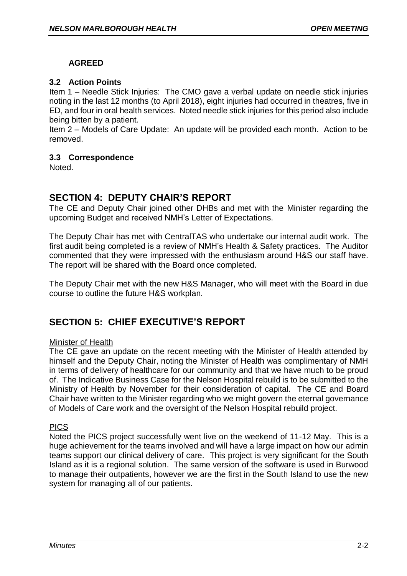# **AGREED**

## **3.2 Action Points**

Item 1 – Needle Stick Injuries: The CMO gave a verbal update on needle stick injuries noting in the last 12 months (to April 2018), eight injuries had occurred in theatres, five in ED, and four in oral health services. Noted needle stick injuries for this period also include being bitten by a patient.

Item 2 – Models of Care Update: An update will be provided each month. Action to be removed.

## **3.3 Correspondence**

Noted.

# **SECTION 4: DEPUTY CHAIR'S REPORT**

The CE and Deputy Chair joined other DHBs and met with the Minister regarding the upcoming Budget and received NMH's Letter of Expectations.

The Deputy Chair has met with CentralTAS who undertake our internal audit work. The first audit being completed is a review of NMH's Health & Safety practices. The Auditor commented that they were impressed with the enthusiasm around H&S our staff have. The report will be shared with the Board once completed.

The Deputy Chair met with the new H&S Manager, who will meet with the Board in due course to outline the future H&S workplan.

# **SECTION 5: CHIEF EXECUTIVE'S REPORT**

## Minister of Health

The CE gave an update on the recent meeting with the Minister of Health attended by himself and the Deputy Chair, noting the Minister of Health was complimentary of NMH in terms of delivery of healthcare for our community and that we have much to be proud of. The Indicative Business Case for the Nelson Hospital rebuild is to be submitted to the Ministry of Health by November for their consideration of capital. The CE and Board Chair have written to the Minister regarding who we might govern the eternal governance of Models of Care work and the oversight of the Nelson Hospital rebuild project.

## PICS

Noted the PICS project successfully went live on the weekend of 11-12 May. This is a huge achievement for the teams involved and will have a large impact on how our admin teams support our clinical delivery of care. This project is very significant for the South Island as it is a regional solution. The same version of the software is used in Burwood to manage their outpatients, however we are the first in the South Island to use the new system for managing all of our patients.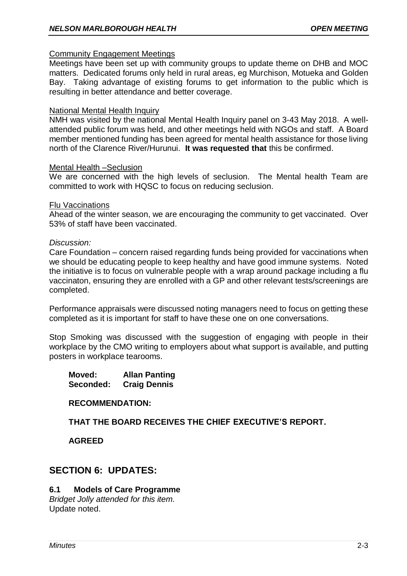#### Community Engagement Meetings

Meetings have been set up with community groups to update theme on DHB and MOC matters. Dedicated forums only held in rural areas, eg Murchison, Motueka and Golden Bay. Taking advantage of existing forums to get information to the public which is resulting in better attendance and better coverage.

### National Mental Health Inquiry

NMH was visited by the national Mental Health Inquiry panel on 3-43 May 2018. A wellattended public forum was held, and other meetings held with NGOs and staff. A Board member mentioned funding has been agreed for mental health assistance for those living north of the Clarence River/Hurunui. **It was requested that** this be confirmed.

#### Mental Health –Seclusion

We are concerned with the high levels of seclusion. The Mental health Team are committed to work with HQSC to focus on reducing seclusion.

#### Flu Vaccinations

Ahead of the winter season, we are encouraging the community to get vaccinated. Over 53% of staff have been vaccinated.

#### *Discussion:*

Care Foundation – concern raised regarding funds being provided for vaccinations when we should be educating people to keep healthy and have good immune systems. Noted the initiative is to focus on vulnerable people with a wrap around package including a flu vaccinaton, ensuring they are enrolled with a GP and other relevant tests/screenings are completed.

Performance appraisals were discussed noting managers need to focus on getting these completed as it is important for staff to have these one on one conversations.

Stop Smoking was discussed with the suggestion of engaging with people in their workplace by the CMO writing to employers about what support is available, and putting posters in workplace tearooms.

**Moved: Allan Panting Seconded: Craig Dennis**

#### **RECOMMENDATION:**

**THAT THE BOARD RECEIVES THE CHIEF EXECUTIVE'S REPORT.**

**AGREED**

# **SECTION 6: UPDATES:**

## **6.1 Models of Care Programme**

*Bridget Jolly attended for this item.* Update noted.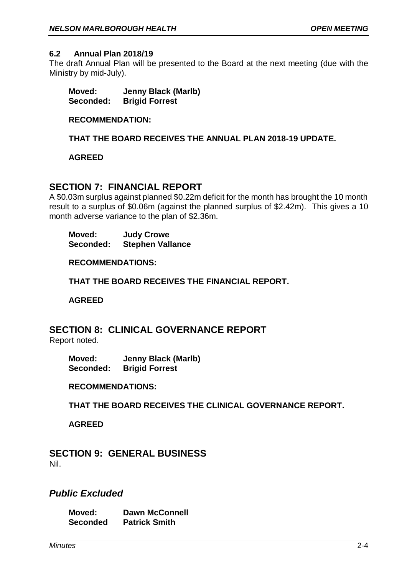### **6.2 Annual Plan 2018/19**

The draft Annual Plan will be presented to the Board at the next meeting (due with the Ministry by mid-July).

**Moved: Jenny Black (Marlb) Seconded: Brigid Forrest**

## **RECOMMENDATION:**

**THAT THE BOARD RECEIVES THE ANNUAL PLAN 2018-19 UPDATE.**

### **AGREED**

# **SECTION 7: FINANCIAL REPORT**

A \$0.03m surplus against planned \$0.22m deficit for the month has brought the 10 month result to a surplus of \$0.06m (against the planned surplus of \$2.42m). This gives a 10 month adverse variance to the plan of \$2.36m.

**Moved: Judy Crowe Seconded: Stephen Vallance**

**RECOMMENDATIONS:**

**THAT THE BOARD RECEIVES THE FINANCIAL REPORT.**

**AGREED**

# **SECTION 8: CLINICAL GOVERNANCE REPORT**

Report noted.

**Moved: Jenny Black (Marlb) Seconded: Brigid Forrest**

**RECOMMENDATIONS:**

**THAT THE BOARD RECEIVES THE CLINICAL GOVERNANCE REPORT.**

**AGREED**

**SECTION 9: GENERAL BUSINESS** Nil.

# *Public Excluded*

**Moved: Dawn McConnell Seconded Patrick Smith**